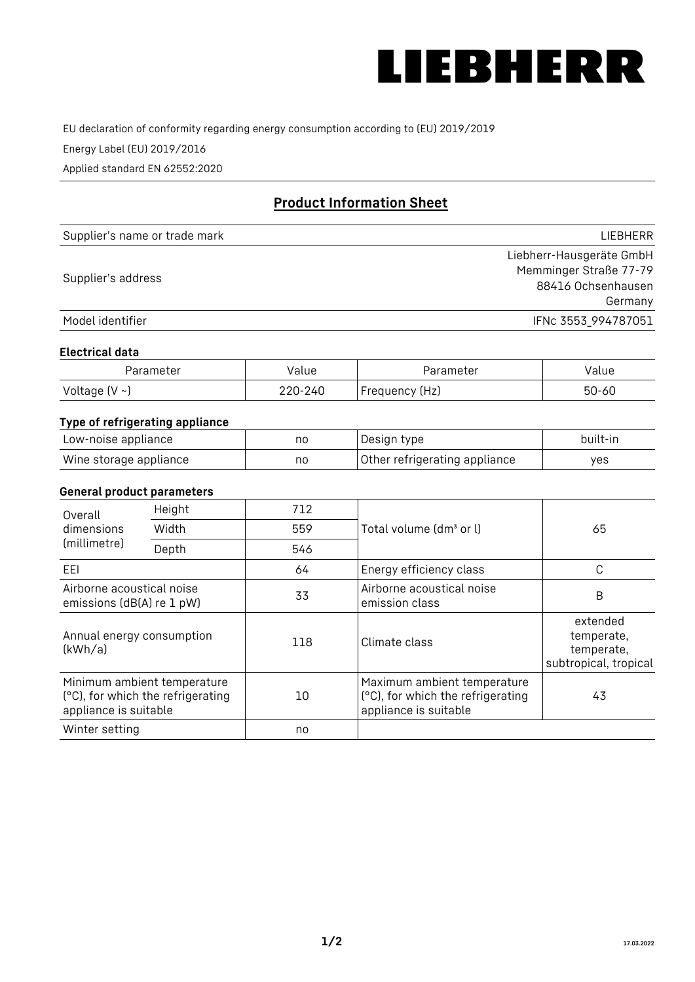

EU declaration of conformity regarding energy consumption according to (EU) 2019/2019

Energy Label (EU) 2019/2016

Applied standard EN 62552:2020

# **Product Information Sheet**

| Supplier's name or trade mark | LIEBHERR                 |
|-------------------------------|--------------------------|
|                               | Liebherr-Hausgeräte GmbH |
| Supplier's address            | Memminger Straße 77-79   |
|                               | 88416 Ochsenhausen       |
|                               | Germany                  |
| Model identifier              | IFNc 3553_994787051      |

#### **Electrical data**

| Parameter           | Value   | Parameter      | alue/     |
|---------------------|---------|----------------|-----------|
| Voltage (V $\sim$ ) | 220-240 | Frequency (Hz) | $50 - 60$ |

## **Type of refrigerating appliance**

| Low-noise appliance    | nc | Design type                   | built-in |
|------------------------|----|-------------------------------|----------|
| Wine storage appliance | nc | Other refrigerating appliance | ves      |

#### **General product parameters**

| Height<br>Overall<br>dimensions<br>Width<br>(millimetre)<br>Depth |                                                                  | 712 |                                                                                           | 65                                                            |
|-------------------------------------------------------------------|------------------------------------------------------------------|-----|-------------------------------------------------------------------------------------------|---------------------------------------------------------------|
|                                                                   |                                                                  | 559 | Total volume (dm <sup>3</sup> or l)                                                       |                                                               |
|                                                                   |                                                                  | 546 |                                                                                           |                                                               |
| EEL                                                               |                                                                  | 64  | Energy efficiency class                                                                   | C                                                             |
| Airborne acoustical noise<br>emissions (dB(A) re 1 pW)            |                                                                  | 33  | Airborne acoustical noise<br>emission class                                               | B                                                             |
| Annual energy consumption<br>(kWh/a)                              |                                                                  | 118 | Climate class                                                                             | extended<br>temperate,<br>temperate,<br>subtropical, tropical |
| appliance is suitable                                             | Minimum ambient temperature<br>(°C), for which the refrigerating | 10  | Maximum ambient temperature<br>(°C), for which the refrigerating<br>appliance is suitable | 43                                                            |
| Winter setting                                                    |                                                                  | no  |                                                                                           |                                                               |